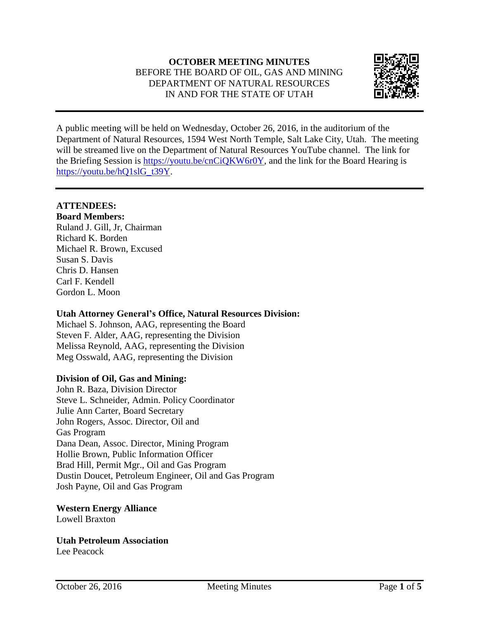# **OCTOBER MEETING MINUTES** BEFORE THE BOARD OF OIL, GAS AND MINING DEPARTMENT OF NATURAL RESOURCES IN AND FOR THE STATE OF UTAH



A public meeting will be held on Wednesday, October 26, 2016, in the auditorium of the Department of Natural Resources, 1594 West North Temple, Salt Lake City, Utah. The meeting will be streamed live on the Department of Natural Resources YouTube channel. The link for the Briefing Session is [https://youtu.be/cnCiQKW6r0Y,](https://youtu.be/cnCiQKW6r0Y) and the link for the Board Hearing is [https://youtu.be/hQ1slG\\_t39Y.](https://youtu.be/hQ1slG_t39Y)

# **ATTENDEES:**

**Board Members:** Ruland J. Gill, Jr, Chairman Richard K. Borden Michael R. Brown, Excused Susan S. Davis Chris D. Hansen Carl F. Kendell Gordon L. Moon

## **Utah Attorney General's Office, Natural Resources Division:**

Michael S. Johnson, AAG, representing the Board Steven F. Alder, AAG, representing the Division Melissa Reynold, AAG, representing the Division Meg Osswald, AAG, representing the Division

# **Division of Oil, Gas and Mining:**

John R. Baza, Division Director Steve L. Schneider, Admin. Policy Coordinator Julie Ann Carter, Board Secretary John Rogers, Assoc. Director, Oil and Gas Program Dana Dean, Assoc. Director, Mining Program Hollie Brown, Public Information Officer Brad Hill, Permit Mgr., Oil and Gas Program Dustin Doucet, Petroleum Engineer, Oil and Gas Program Josh Payne, Oil and Gas Program

**Western Energy Alliance** Lowell Braxton

**Utah Petroleum Association** Lee Peacock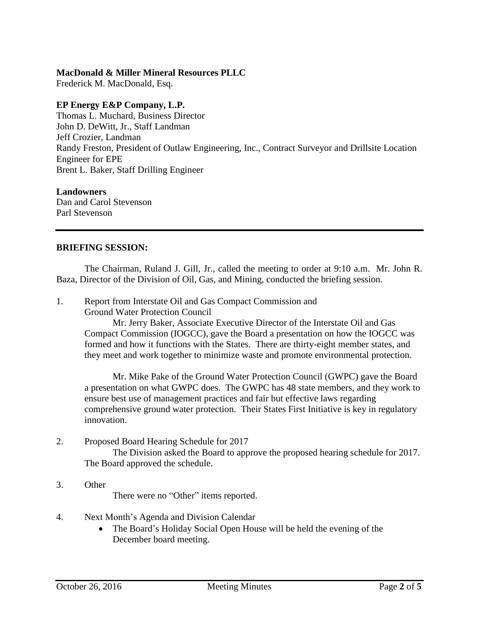#### **MacDonald & Miller Mineral Resources PLLC**

Frederick M. MacDonald, Esq.

## **EP Energy E&P Company, L.P.**

Thomas L. Muchard, Business Director John D. DeWitt, Jr., Staff Landman Jeff Crozier, Landman Randy Freston, President of Outlaw Engineering, Inc., Contract Surveyor and Drillsite Location Engineer for EPE Brent L. Baker, Staff Drilling Engineer

### **Landowners**

Dan and Carol Stevenson Parl Stevenson

### **BRIEFING SESSION:**

The Chairman, Ruland J. Gill, Jr., called the meeting to order at 9:10 a.m. Mr. John R. Baza, Director of the Division of Oil, Gas, and Mining, conducted the briefing session.

1. Report from Interstate Oil and Gas Compact Commission and Ground Water Protection Council

> Mr. Jerry Baker, Associate Executive Director of the Interstate Oil and Gas Compact Commission (IOGCC), gave the Board a presentation on how the IOGCC was formed and how it functions with the States. There are thirty-eight member states, and they meet and work together to minimize waste and promote environmental protection.

Mr. Mike Pake of the Ground Water Protection Council (GWPC) gave the Board a presentation on what GWPC does. The GWPC has 48 state members, and they work to ensure best use of management practices and fair but effective laws regarding comprehensive ground water protection. Their States First Initiative is key in regulatory innovation.

2. Proposed Board Hearing Schedule for 2017

The Division asked the Board to approve the proposed hearing schedule for 2017. The Board approved the schedule.

3. Other

There were no "Other" items reported.

- 4. Next Month's Agenda and Division Calendar
	- The Board's Holiday Social Open House will be held the evening of the December board meeting.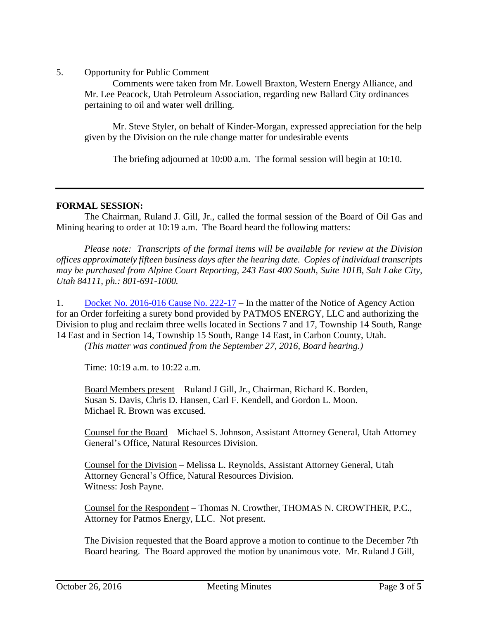5. Opportunity for Public Comment

Comments were taken from Mr. Lowell Braxton, Western Energy Alliance, and Mr. Lee Peacock, Utah Petroleum Association, regarding new Ballard City ordinances pertaining to oil and water well drilling.

Mr. Steve Styler, on behalf of Kinder-Morgan, expressed appreciation for the help given by the Division on the rule change matter for undesirable events

The briefing adjourned at 10:00 a.m. The formal session will begin at 10:10.

#### **FORMAL SESSION:**

The Chairman, Ruland J. Gill, Jr., called the formal session of the Board of Oil Gas and Mining hearing to order at 10:19 a.m. The Board heard the following matters:

*Please note: Transcripts of the formal items will be available for review at the Division offices approximately fifteen business days after the hearing date. Copies of individual transcripts may be purchased from Alpine Court Reporting, 243 East 400 South, Suite 101B, Salt Lake City, Utah 84111, ph.: 801-691-1000.*

1. Docket No. [2016-016](http://ogm.utah.gov/amr/boardtemp/redesign/2016/10_Oct/Dockets/2016-016_222-17_Patmos.php) Cause No. 222-17 – In the matter of the Notice of Agency Action for an Order forfeiting a surety bond provided by PATMOS ENERGY, LLC and authorizing the Division to plug and reclaim three wells located in Sections 7 and 17, Township 14 South, Range 14 East and in Section 14, Township 15 South, Range 14 East, in Carbon County, Utah.

*(This matter was continued from the September 27, 2016, Board hearing.)*

Time: 10:19 a.m. to 10:22 a.m.

Board Members present – Ruland J Gill, Jr., Chairman, Richard K. Borden, Susan S. Davis, Chris D. Hansen, Carl F. Kendell, and Gordon L. Moon. Michael R. Brown was excused.

Counsel for the Board – Michael S. Johnson, Assistant Attorney General, Utah Attorney General's Office, Natural Resources Division.

Counsel for the Division – Melissa L. Reynolds, Assistant Attorney General, Utah Attorney General's Office, Natural Resources Division. Witness: Josh Payne.

Counsel for the Respondent – Thomas N. Crowther, THOMAS N. CROWTHER, P.C., Attorney for Patmos Energy, LLC. Not present.

The Division requested that the Board approve a motion to continue to the December 7th Board hearing. The Board approved the motion by unanimous vote. Mr. Ruland J Gill,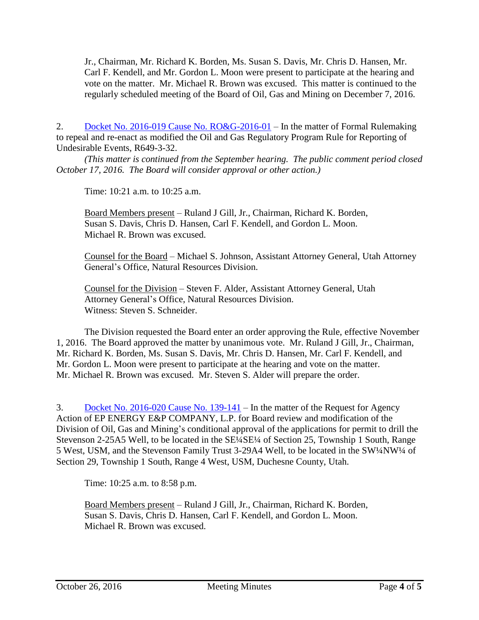Jr., Chairman, Mr. Richard K. Borden, Ms. Susan S. Davis, Mr. Chris D. Hansen, Mr. Carl F. Kendell, and Mr. Gordon L. Moon were present to participate at the hearing and vote on the matter. Mr. Michael R. Brown was excused. This matter is continued to the regularly scheduled meeting of the Board of Oil, Gas and Mining on December 7, 2016.

2. Docket No. 2016-019 Cause No. [RO&G-2016-01](http://ogm.utah.gov/amr/boardtemp/redesign/2016/10_Oct/Dockets/2016-019_ROG-2016-01_Rulemaking.php) – In the matter of Formal Rulemaking to repeal and re-enact as modified the Oil and Gas Regulatory Program Rule for Reporting of Undesirable Events, R649-3-32.

*(This matter is continued from the September hearing. The public comment period closed October 17, 2016. The Board will consider approval or other action.)*

Time: 10:21 a.m. to 10:25 a.m.

Board Members present – Ruland J Gill, Jr., Chairman, Richard K. Borden, Susan S. Davis, Chris D. Hansen, Carl F. Kendell, and Gordon L. Moon. Michael R. Brown was excused.

Counsel for the Board – Michael S. Johnson, Assistant Attorney General, Utah Attorney General's Office, Natural Resources Division.

Counsel for the Division – Steven F. Alder, Assistant Attorney General, Utah Attorney General's Office, Natural Resources Division. Witness: Steven S. Schneider.

The Division requested the Board enter an order approving the Rule, effective November 1, 2016. The Board approved the matter by unanimous vote. Mr. Ruland J Gill, Jr., Chairman, Mr. Richard K. Borden, Ms. Susan S. Davis, Mr. Chris D. Hansen, Mr. Carl F. Kendell, and Mr. Gordon L. Moon were present to participate at the hearing and vote on the matter. Mr. Michael R. Brown was excused. Mr. Steven S. Alder will prepare the order.

3. Docket No. [2016-020](http://ogm.utah.gov/amr/boardtemp/redesign/2016/10_Oct/Dockets/2016-020_139-141_EPE.php) Cause No. 139-141 – In the matter of the Request for Agency Action of EP ENERGY E&P COMPANY, L.P. for Board review and modification of the Division of Oil, Gas and Mining's conditional approval of the applications for permit to drill the Stevenson 2-25A5 Well, to be located in the SE<sup>1</sup>/4SE<sup>1</sup>/4 of Section 25, Township 1 South, Range 5 West, USM, and the Stevenson Family Trust 3-29A4 Well, to be located in the SW¼NW¼ of Section 29, Township 1 South, Range 4 West, USM, Duchesne County, Utah.

Time: 10:25 a.m. to 8:58 p.m.

Board Members present – Ruland J Gill, Jr., Chairman, Richard K. Borden, Susan S. Davis, Chris D. Hansen, Carl F. Kendell, and Gordon L. Moon. Michael R. Brown was excused.